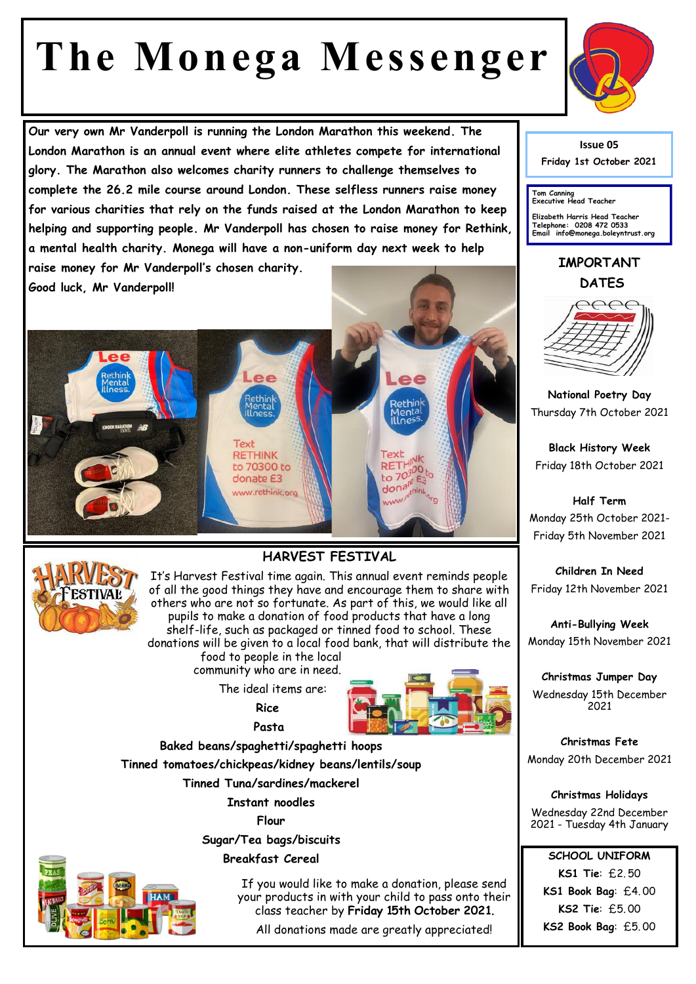## **The Monega Messenger**

**Our very own Mr Vanderpoll is running the London Marathon this weekend. The London Marathon is an annual event where elite athletes compete for international glory. The Marathon also welcomes charity runners to challenge themselves to complete the 26.2 mile course around London. These selfless runners raise money for various charities that rely on the funds raised at the London Marathon to keep helping and supporting people. Mr Vanderpoll has chosen to raise money for Rethink, a mental health charity. Monega will have a non-uniform day next week to help raise money for Mr Vanderpoll's chosen charity.** 

 $Re$ 

to 70300 to donate E3 www.rethink.org

**Text RETHINK** 

**Good luck, Mr Vanderpoll!**



**Issue 05 Friday 1st October 2021** 

**Tom Canning Executive Head Teacher**

**Elizabeth Harris Head Teacher Telephone: 0208 472 0533 Email info@monega.boleyntrust.org** 

**IMPORTANT DATES**



**National Poetry Day** Thursday 7th October 2021

**Black History Week** Friday 18th October 2021

**Half Term** Monday 25th October 2021- Friday 5th November 2021

**Children In Need** Friday 12th November 2021

**Anti-Bullying Week** Monday 15th November 2021

**Christmas Jumper Day** Wednesday 15th December 2021

**Christmas Fete** Monday 20th December 2021

**Christmas Holidays** Wednesday 22nd December 2021 - Tuesday 4th January

**SCHOOL UNIFORM KS1 Tie**: £2. 50 **KS1 Book Bag**: £4. 00 **KS2 Tie**: £5. 00 **KS2 Book Bag**: £5. 00



## **HARVEST FESTIVAL**

It's Harvest Festival time again. This annual event reminds people of all the good things they have and encourage them to share with others who are not so fortunate. As part of this, we would like all pupils to make a donation of food products that have a long shelf-life, such as packaged or tinned food to school. These donations will be given to a local food bank, that will distribute the food to people in the local community who are in need.

The ideal items are:

**Rice**



Lee

Text RETH<sub>300</sub>

 **Pasta Baked beans/spaghetti/spaghetti hoops**

**Tinned tomatoes/chickpeas/kidney beans/lentils/soup**

**Tinned Tuna/sardines/mackerel**

**Instant noodles**

**Flour**

**Sugar/Tea bags/biscuits** 

## **Breakfast Cereal**

j

If you would like to make a donation, please send your products in with your child to pass onto their class teacher by **Friday 15th October 2021.** 

All donations made are greatly appreciated!